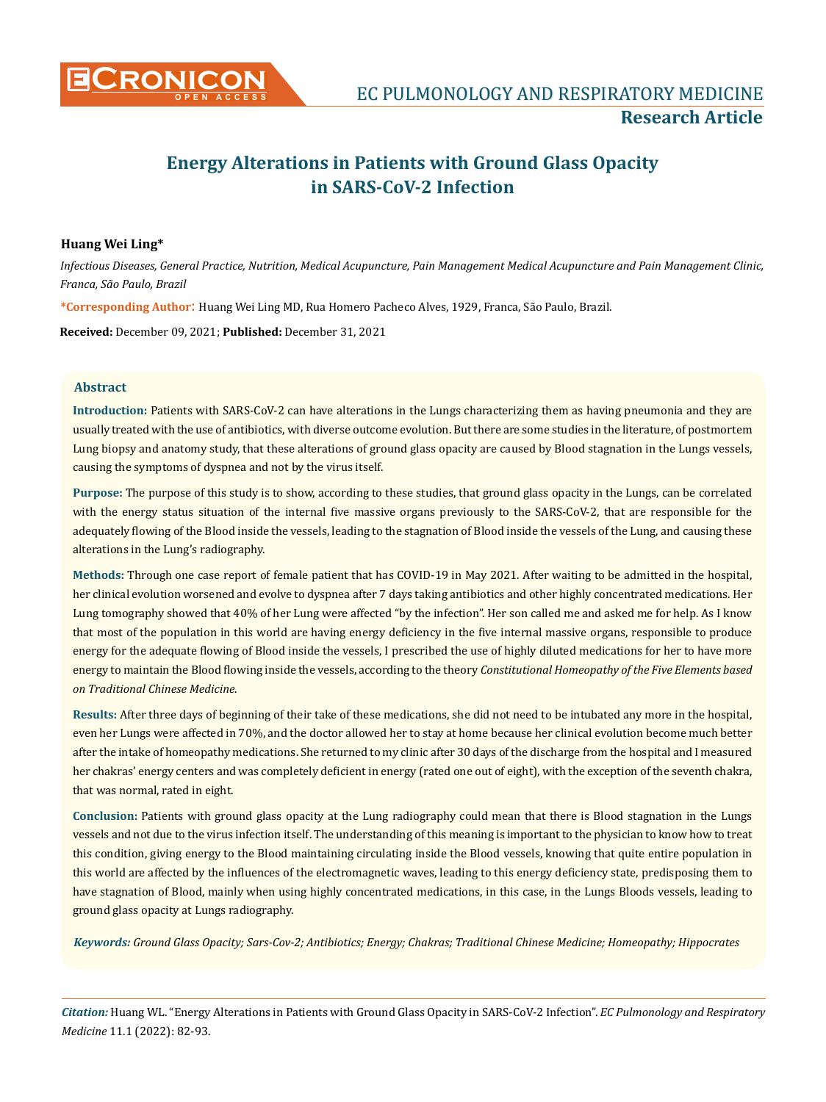

# **Energy Alterations in Patients with Ground Glass Opacity in SARS-CoV-2 Infection**

## **Huang Wei Ling\***

*Infectious Diseases, General Practice, Nutrition, Medical Acupuncture, Pain Management Medical Acupuncture and Pain Management Clinic, Franca, São Paulo, Brazil*

**\*Corresponding Author**: Huang Wei Ling MD, Rua Homero Pacheco Alves, 1929, Franca, São Paulo, Brazil.

**Received:** December 09, 2021; **Published:** December 31, 2021

#### **Abstract**

**Introduction:** Patients with SARS-CoV-2 can have alterations in the Lungs characterizing them as having pneumonia and they are usually treated with the use of antibiotics, with diverse outcome evolution. But there are some studies in the literature, of postmortem Lung biopsy and anatomy study, that these alterations of ground glass opacity are caused by Blood stagnation in the Lungs vessels, causing the symptoms of dyspnea and not by the virus itself.

**Purpose:** The purpose of this study is to show, according to these studies, that ground glass opacity in the Lungs, can be correlated with the energy status situation of the internal five massive organs previously to the SARS-CoV-2, that are responsible for the adequately flowing of the Blood inside the vessels, leading to the stagnation of Blood inside the vessels of the Lung, and causing these alterations in the Lung's radiography.

**Methods:** Through one case report of female patient that has COVID-19 in May 2021. After waiting to be admitted in the hospital, her clinical evolution worsened and evolve to dyspnea after 7 days taking antibiotics and other highly concentrated medications. Her Lung tomography showed that 40% of her Lung were affected "by the infection". Her son called me and asked me for help. As I know that most of the population in this world are having energy deficiency in the five internal massive organs, responsible to produce energy for the adequate flowing of Blood inside the vessels, I prescribed the use of highly diluted medications for her to have more energy to maintain the Blood flowing inside the vessels, according to the theory *Constitutional Homeopathy of the Five Elements based on Traditional Chinese Medicine*.

**Results:** After three days of beginning of their take of these medications, she did not need to be intubated any more in the hospital, even her Lungs were affected in 70%, and the doctor allowed her to stay at home because her clinical evolution become much better after the intake of homeopathy medications. She returned to my clinic after 30 days of the discharge from the hospital and I measured her chakras' energy centers and was completely deficient in energy (rated one out of eight), with the exception of the seventh chakra, that was normal, rated in eight.

**Conclusion:** Patients with ground glass opacity at the Lung radiography could mean that there is Blood stagnation in the Lungs vessels and not due to the virus infection itself. The understanding of this meaning is important to the physician to know how to treat this condition, giving energy to the Blood maintaining circulating inside the Blood vessels, knowing that quite entire population in this world are affected by the influences of the electromagnetic waves, leading to this energy deficiency state, predisposing them to have stagnation of Blood, mainly when using highly concentrated medications, in this case, in the Lungs Bloods vessels, leading to ground glass opacity at Lungs radiography.

*Keywords: Ground Glass Opacity; Sars-Cov-2; Antibiotics; Energy; Chakras; Traditional Chinese Medicine; Homeopathy; Hippocrates*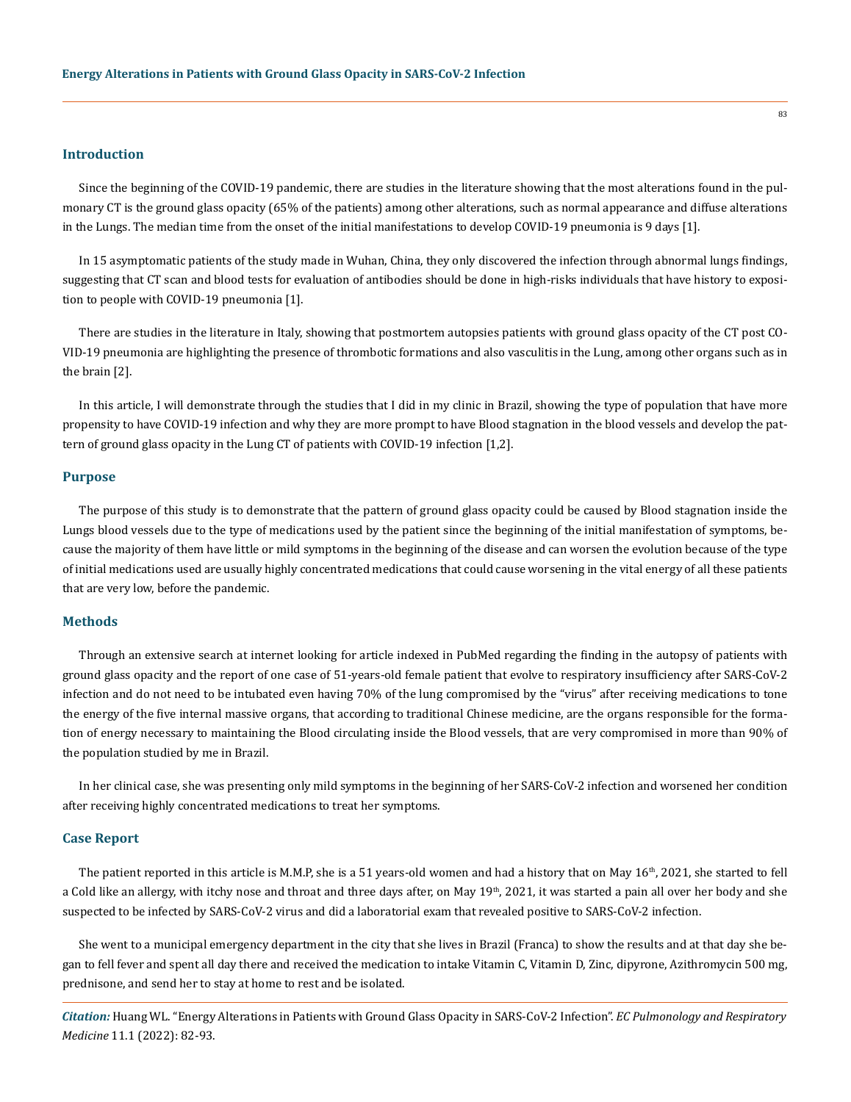## **Introduction**

Since the beginning of the COVID-19 pandemic, there are studies in the literature showing that the most alterations found in the pulmonary CT is the ground glass opacity (65% of the patients) among other alterations, such as normal appearance and diffuse alterations in the Lungs. The median time from the onset of the initial manifestations to develop COVID-19 pneumonia is 9 days [1].

In 15 asymptomatic patients of the study made in Wuhan, China, they only discovered the infection through abnormal lungs findings, suggesting that CT scan and blood tests for evaluation of antibodies should be done in high-risks individuals that have history to exposition to people with COVID-19 pneumonia [1].

There are studies in the literature in Italy, showing that postmortem autopsies patients with ground glass opacity of the CT post CO-VID-19 pneumonia are highlighting the presence of thrombotic formations and also vasculitis in the Lung, among other organs such as in the brain [2].

In this article, I will demonstrate through the studies that I did in my clinic in Brazil, showing the type of population that have more propensity to have COVID-19 infection and why they are more prompt to have Blood stagnation in the blood vessels and develop the pattern of ground glass opacity in the Lung CT of patients with COVID-19 infection [1,2].

#### **Purpose**

The purpose of this study is to demonstrate that the pattern of ground glass opacity could be caused by Blood stagnation inside the Lungs blood vessels due to the type of medications used by the patient since the beginning of the initial manifestation of symptoms, because the majority of them have little or mild symptoms in the beginning of the disease and can worsen the evolution because of the type of initial medications used are usually highly concentrated medications that could cause worsening in the vital energy of all these patients that are very low, before the pandemic.

## **Methods**

Through an extensive search at internet looking for article indexed in PubMed regarding the finding in the autopsy of patients with ground glass opacity and the report of one case of 51-years-old female patient that evolve to respiratory insufficiency after SARS-CoV-2 infection and do not need to be intubated even having 70% of the lung compromised by the "virus" after receiving medications to tone the energy of the five internal massive organs, that according to traditional Chinese medicine, are the organs responsible for the formation of energy necessary to maintaining the Blood circulating inside the Blood vessels, that are very compromised in more than 90% of the population studied by me in Brazil.

In her clinical case, she was presenting only mild symptoms in the beginning of her SARS-CoV-2 infection and worsened her condition after receiving highly concentrated medications to treat her symptoms.

#### **Case Report**

The patient reported in this article is M.M.P, she is a 51 years-old women and had a history that on May  $16<sup>th</sup>$ , 2021, she started to fell a Cold like an allergy, with itchy nose and throat and three days after, on May  $19<sup>th</sup>$ , 2021, it was started a pain all over her body and she suspected to be infected by SARS-CoV-2 virus and did a laboratorial exam that revealed positive to SARS-CoV-2 infection.

She went to a municipal emergency department in the city that she lives in Brazil (Franca) to show the results and at that day she began to fell fever and spent all day there and received the medication to intake Vitamin C, Vitamin D, Zinc, dipyrone, Azithromycin 500 mg, prednisone, and send her to stay at home to rest and be isolated.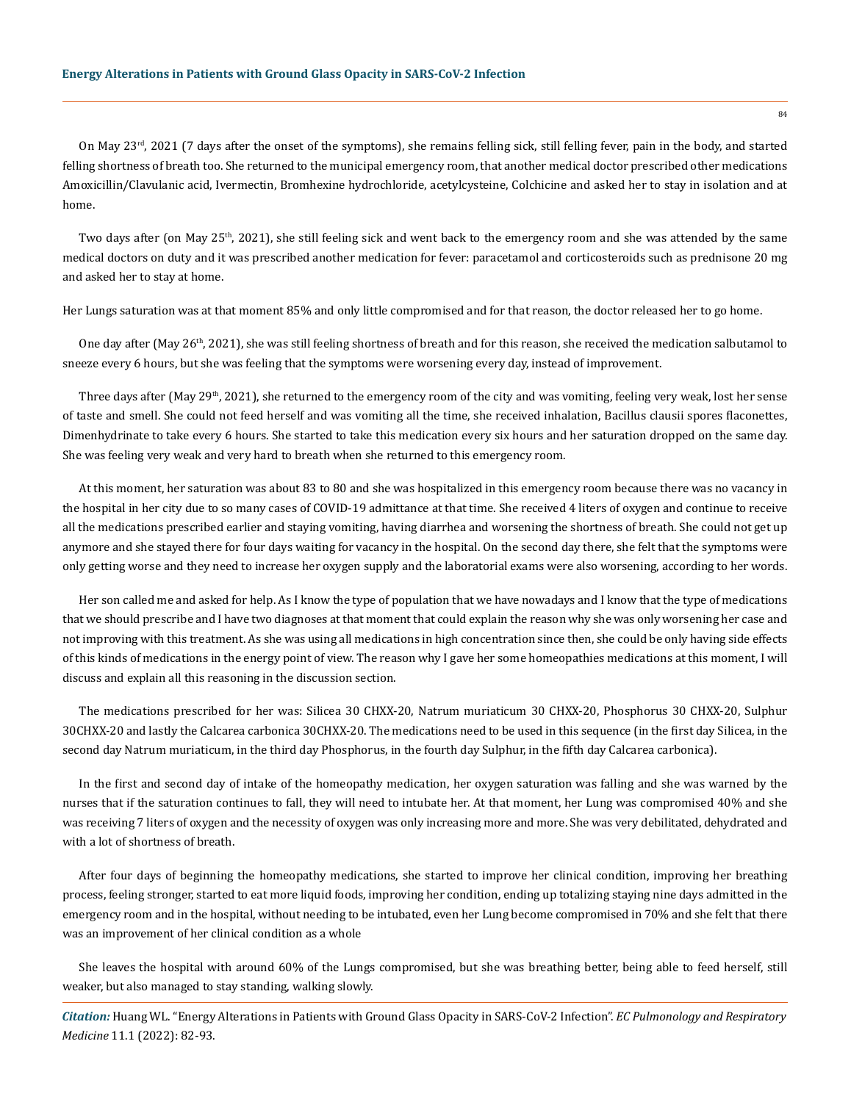On May 23<sup>rd</sup>, 2021 (7 days after the onset of the symptoms), she remains felling sick, still felling fever, pain in the body, and started felling shortness of breath too. She returned to the municipal emergency room, that another medical doctor prescribed other medications Amoxicillin/Clavulanic acid, Ivermectin, Bromhexine hydrochloride, acetylcysteine, Colchicine and asked her to stay in isolation and at home.

Two days after (on May  $25<sup>th</sup>$ , 2021), she still feeling sick and went back to the emergency room and she was attended by the same medical doctors on duty and it was prescribed another medication for fever: paracetamol and corticosteroids such as prednisone 20 mg and asked her to stay at home.

Her Lungs saturation was at that moment 85% and only little compromised and for that reason, the doctor released her to go home.

One day after (May 26<sup>th</sup>, 2021), she was still feeling shortness of breath and for this reason, she received the medication salbutamol to sneeze every 6 hours, but she was feeling that the symptoms were worsening every day, instead of improvement.

Three days after (May 29<sup>th</sup>, 2021), she returned to the emergency room of the city and was vomiting, feeling very weak, lost her sense of taste and smell. She could not feed herself and was vomiting all the time, she received inhalation, Bacillus clausii spores flaconettes, Dimenhydrinate to take every 6 hours. She started to take this medication every six hours and her saturation dropped on the same day. She was feeling very weak and very hard to breath when she returned to this emergency room.

At this moment, her saturation was about 83 to 80 and she was hospitalized in this emergency room because there was no vacancy in the hospital in her city due to so many cases of COVID-19 admittance at that time. She received 4 liters of oxygen and continue to receive all the medications prescribed earlier and staying vomiting, having diarrhea and worsening the shortness of breath. She could not get up anymore and she stayed there for four days waiting for vacancy in the hospital. On the second day there, she felt that the symptoms were only getting worse and they need to increase her oxygen supply and the laboratorial exams were also worsening, according to her words.

Her son called me and asked for help. As I know the type of population that we have nowadays and I know that the type of medications that we should prescribe and I have two diagnoses at that moment that could explain the reason why she was only worsening her case and not improving with this treatment. As she was using all medications in high concentration since then, she could be only having side effects of this kinds of medications in the energy point of view. The reason why I gave her some homeopathies medications at this moment, I will discuss and explain all this reasoning in the discussion section.

The medications prescribed for her was: Silicea 30 CHXX-20, Natrum muriaticum 30 CHXX-20, Phosphorus 30 CHXX-20, Sulphur 30CHXX-20 and lastly the Calcarea carbonica 30CHXX-20. The medications need to be used in this sequence (in the first day Silicea, in the second day Natrum muriaticum, in the third day Phosphorus, in the fourth day Sulphur, in the fifth day Calcarea carbonica).

In the first and second day of intake of the homeopathy medication, her oxygen saturation was falling and she was warned by the nurses that if the saturation continues to fall, they will need to intubate her. At that moment, her Lung was compromised 40% and she was receiving 7 liters of oxygen and the necessity of oxygen was only increasing more and more. She was very debilitated, dehydrated and with a lot of shortness of breath.

After four days of beginning the homeopathy medications, she started to improve her clinical condition, improving her breathing process, feeling stronger, started to eat more liquid foods, improving her condition, ending up totalizing staying nine days admitted in the emergency room and in the hospital, without needing to be intubated, even her Lung become compromised in 70% and she felt that there was an improvement of her clinical condition as a whole

She leaves the hospital with around 60% of the Lungs compromised, but she was breathing better, being able to feed herself, still weaker, but also managed to stay standing, walking slowly.

*Citation:* Huang WL. "Energy Alterations in Patients with Ground Glass Opacity in SARS-CoV-2 Infection". *EC Pulmonology and Respiratory Medicine* 11.1 (2022): 82-93.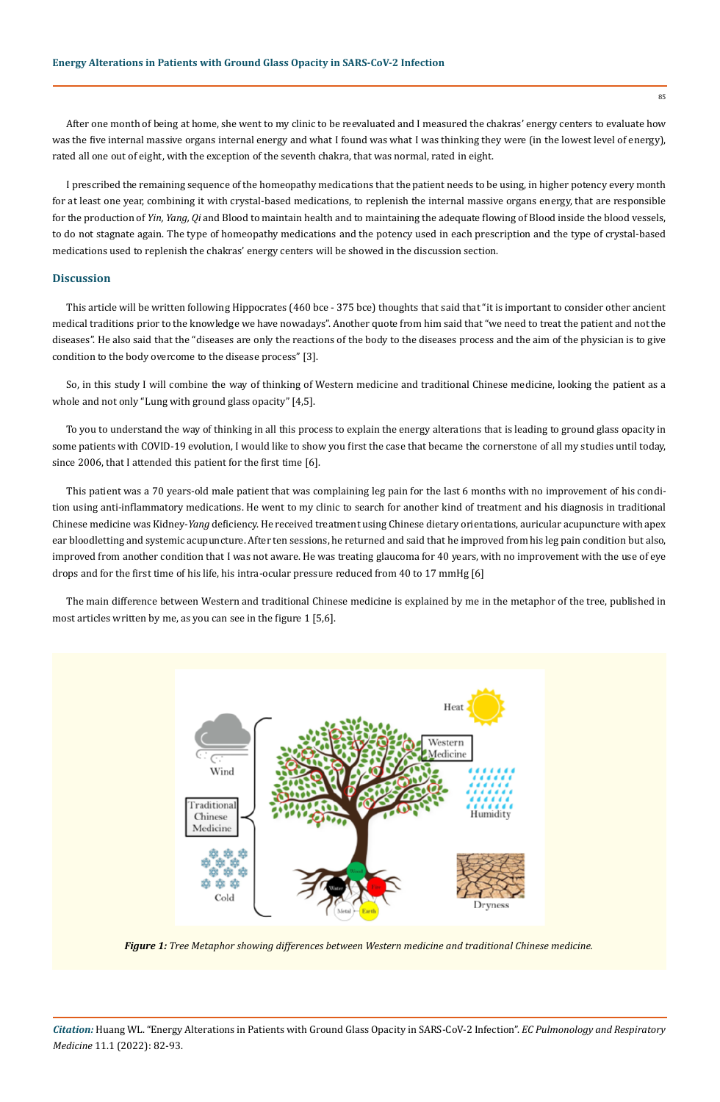After one month of being at home, she went to my clinic to be reevaluated and I measured the chakras' energy centers to evaluate how was the five internal massive organs internal energy and what I found was what I was thinking they were (in the lowest level of energy), rated all one out of eight, with the exception of the seventh chakra, that was normal, rated in eight.

I prescribed the remaining sequence of the homeopathy medications that the patient needs to be using, in higher potency every month for at least one year, combining it with crystal-based medications, to replenish the internal massive organs energy, that are responsible for the production of *Yin, Yang, Qi* and Blood to maintain health and to maintaining the adequate flowing of Blood inside the blood vessels, to do not stagnate again. The type of homeopathy medications and the potency used in each prescription and the type of crystal-based medications used to replenish the chakras' energy centers will be showed in the discussion section.

## **Discussion**

This article will be written following Hippocrates (460 bce - 375 bce) thoughts that said that "it is important to consider other ancient medical traditions prior to the knowledge we have nowadays". Another quote from him said that "we need to treat the patient and not the diseases". He also said that the "diseases are only the reactions of the body to the diseases process and the aim of the physician is to give condition to the body overcome to the disease process" [3].

So, in this study I will combine the way of thinking of Western medicine and traditional Chinese medicine, looking the patient as a whole and not only "Lung with ground glass opacity" [4,5].

To you to understand the way of thinking in all this process to explain the energy alterations that is leading to ground glass opacity in some patients with COVID-19 evolution, I would like to show you first the case that became the cornerstone of all my studies until today, since 2006, that I attended this patient for the first time [6].

This patient was a 70 years-old male patient that was complaining leg pain for the last 6 months with no improvement of his condition using anti-inflammatory medications. He went to my clinic to search for another kind of treatment and his diagnosis in traditional Chinese medicine was Kidney-*Yang* deficiency. He received treatment using Chinese dietary orientations, auricular acupuncture with apex ear bloodletting and systemic acupuncture. After ten sessions, he returned and said that he improved from his leg pain condition but also, improved from another condition that I was not aware. He was treating glaucoma for 40 years, with no improvement with the use of eye drops and for the first time of his life, his intra-ocular pressure reduced from 40 to 17 mmHg [6]

The main difference between Western and traditional Chinese medicine is explained by me in the metaphor of the tree, published in most articles written by me, as you can see in the figure 1 [5,6].



*Figure 1: Tree Metaphor showing differences between Western medicine and traditional Chinese medicine.*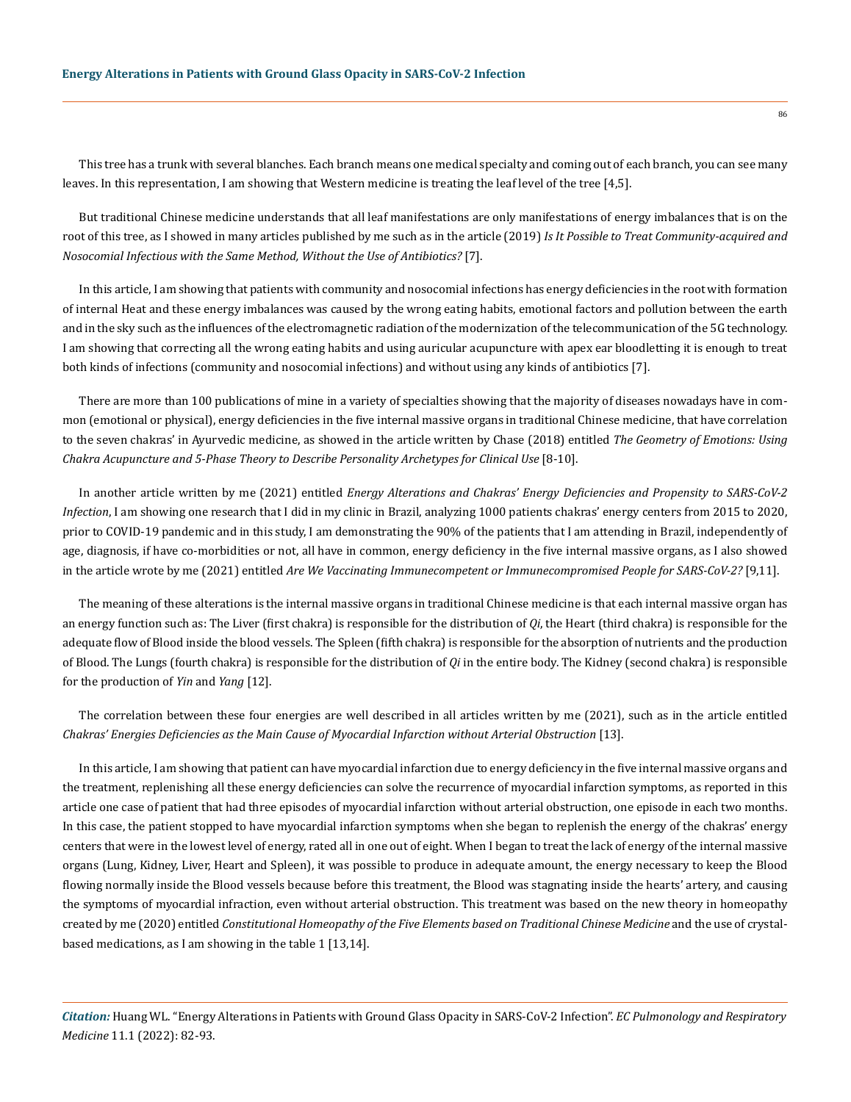This tree has a trunk with several blanches. Each branch means one medical specialty and coming out of each branch, you can see many leaves. In this representation, I am showing that Western medicine is treating the leaf level of the tree [4,5].

But traditional Chinese medicine understands that all leaf manifestations are only manifestations of energy imbalances that is on the root of this tree, as I showed in many articles published by me such as in the article (2019) *Is It Possible to Treat Community-acquired and Nosocomial Infectious with the Same Method, Without the Use of Antibiotics?* [7].

In this article, I am showing that patients with community and nosocomial infections has energy deficiencies in the root with formation of internal Heat and these energy imbalances was caused by the wrong eating habits, emotional factors and pollution between the earth and in the sky such as the influences of the electromagnetic radiation of the modernization of the telecommunication of the 5G technology. I am showing that correcting all the wrong eating habits and using auricular acupuncture with apex ear bloodletting it is enough to treat both kinds of infections (community and nosocomial infections) and without using any kinds of antibiotics [7].

There are more than 100 publications of mine in a variety of specialties showing that the majority of diseases nowadays have in common (emotional or physical), energy deficiencies in the five internal massive organs in traditional Chinese medicine, that have correlation to the seven chakras' in Ayurvedic medicine, as showed in the article written by Chase (2018) entitled *The Geometry of Emotions: Using Chakra Acupuncture and 5-Phase Theory to Describe Personality Archetypes for Clinical Use* [8-10].

In another article written by me (2021) entitled *Energy Alterations and Chakras' Energy Deficiencies and Propensity to SARS-CoV-2 Infection*, I am showing one research that I did in my clinic in Brazil, analyzing 1000 patients chakras' energy centers from 2015 to 2020, prior to COVID-19 pandemic and in this study, I am demonstrating the 90% of the patients that I am attending in Brazil, independently of age, diagnosis, if have co-morbidities or not, all have in common, energy deficiency in the five internal massive organs, as I also showed in the article wrote by me (2021) entitled *Are We Vaccinating Immunecompetent or Immunecompromised People for SARS-CoV-2?* [9,11].

The meaning of these alterations is the internal massive organs in traditional Chinese medicine is that each internal massive organ has an energy function such as: The Liver (first chakra) is responsible for the distribution of *Qi*, the Heart (third chakra) is responsible for the adequate flow of Blood inside the blood vessels. The Spleen (fifth chakra) is responsible for the absorption of nutrients and the production of Blood. The Lungs (fourth chakra) is responsible for the distribution of *Qi* in the entire body. The Kidney (second chakra) is responsible for the production of *Yin* and *Yang* [12].

The correlation between these four energies are well described in all articles written by me (2021), such as in the article entitled *Chakras' Energies Deficiencies as the Main Cause of Myocardial Infarction without Arterial Obstruction* [13].

In this article, I am showing that patient can have myocardial infarction due to energy deficiency in the five internal massive organs and the treatment, replenishing all these energy deficiencies can solve the recurrence of myocardial infarction symptoms, as reported in this article one case of patient that had three episodes of myocardial infarction without arterial obstruction, one episode in each two months. In this case, the patient stopped to have myocardial infarction symptoms when she began to replenish the energy of the chakras' energy centers that were in the lowest level of energy, rated all in one out of eight. When I began to treat the lack of energy of the internal massive organs (Lung, Kidney, Liver, Heart and Spleen), it was possible to produce in adequate amount, the energy necessary to keep the Blood flowing normally inside the Blood vessels because before this treatment, the Blood was stagnating inside the hearts' artery, and causing the symptoms of myocardial infraction, even without arterial obstruction. This treatment was based on the new theory in homeopathy created by me (2020) entitled *Constitutional Homeopathy of the Five Elements based on Traditional Chinese Medicine* and the use of crystalbased medications, as I am showing in the table 1 [13,14].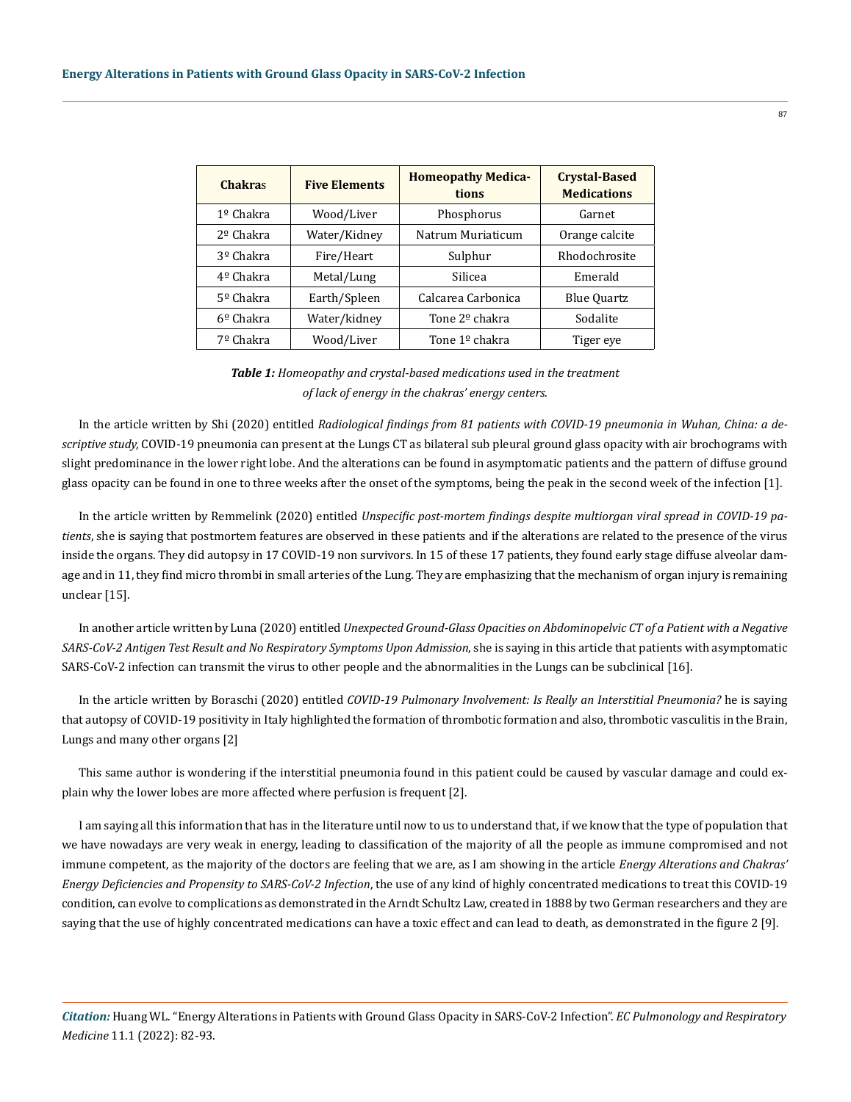| <b>Chakras</b>     | <b>Five Elements</b> | <b>Homeopathy Medica-</b><br>tions | <b>Crystal-Based</b><br><b>Medications</b> |
|--------------------|----------------------|------------------------------------|--------------------------------------------|
| 1º Chakra          | Wood/Liver           | Phosphorus                         | Garnet                                     |
| $2°$ Chakra        | Water/Kidney         | Natrum Muriaticum                  | Orange calcite                             |
| 3º Chakra          | Fire/Heart           | Sulphur                            | Rhodochrosite                              |
| 4º Chakra          | Metal/Lung           | Silicea                            | Emerald                                    |
| $5°$ Chakra        | Earth/Spleen         | Calcarea Carbonica                 | <b>Blue Quartz</b>                         |
| $6^{\circ}$ Chakra | Water/kidney         | Tone 2 <sup>o</sup> chakra         | Sodalite                                   |
| 7º Chakra          | Wood/Liver           | Tone $1°$ chakra                   | Tiger eye                                  |

*Table 1: Homeopathy and crystal-based medications used in the treatment of lack of energy in the chakras' energy centers.*

In the article written by Shi (2020) entitled *Radiological findings from 81 patients with COVID-19 pneumonia in Wuhan, China: a descriptive study,* COVID-19 pneumonia can present at the Lungs CT as bilateral sub pleural ground glass opacity with air brochograms with slight predominance in the lower right lobe. And the alterations can be found in asymptomatic patients and the pattern of diffuse ground glass opacity can be found in one to three weeks after the onset of the symptoms, being the peak in the second week of the infection [1].

In the article written by Remmelink (2020) entitled *Unspecific post-mortem findings despite multiorgan viral spread in COVID-19 patients*, she is saying that postmortem features are observed in these patients and if the alterations are related to the presence of the virus inside the organs. They did autopsy in 17 COVID-19 non survivors. In 15 of these 17 patients, they found early stage diffuse alveolar damage and in 11, they find micro thrombi in small arteries of the Lung. They are emphasizing that the mechanism of organ injury is remaining unclear [15].

In another article written by Luna (2020) entitled *Unexpected Ground-Glass Opacities on Abdominopelvic CT of a Patient with a Negative*  SARS-CoV-2 Antigen Test Result and No Respiratory Symptoms Upon Admission, she is saying in this article that patients with asymptomatic SARS-CoV-2 infection can transmit the virus to other people and the abnormalities in the Lungs can be subclinical [16].

In the article written by Boraschi (2020) entitled *COVID-19 Pulmonary Involvement: Is Really an Interstitial Pneumonia?* he is saying that autopsy of COVID-19 positivity in Italy highlighted the formation of thrombotic formation and also, thrombotic vasculitis in the Brain, Lungs and many other organs [2]

This same author is wondering if the interstitial pneumonia found in this patient could be caused by vascular damage and could explain why the lower lobes are more affected where perfusion is frequent [2].

I am saying all this information that has in the literature until now to us to understand that, if we know that the type of population that we have nowadays are very weak in energy, leading to classification of the majority of all the people as immune compromised and not immune competent, as the majority of the doctors are feeling that we are, as I am showing in the article *Energy Alterations and Chakras' Energy Deficiencies and Propensity to SARS-CoV-2 Infection*, the use of any kind of highly concentrated medications to treat this COVID-19 condition, can evolve to complications as demonstrated in the Arndt Schultz Law, created in 1888 by two German researchers and they are saying that the use of highly concentrated medications can have a toxic effect and can lead to death, as demonstrated in the figure 2 [9].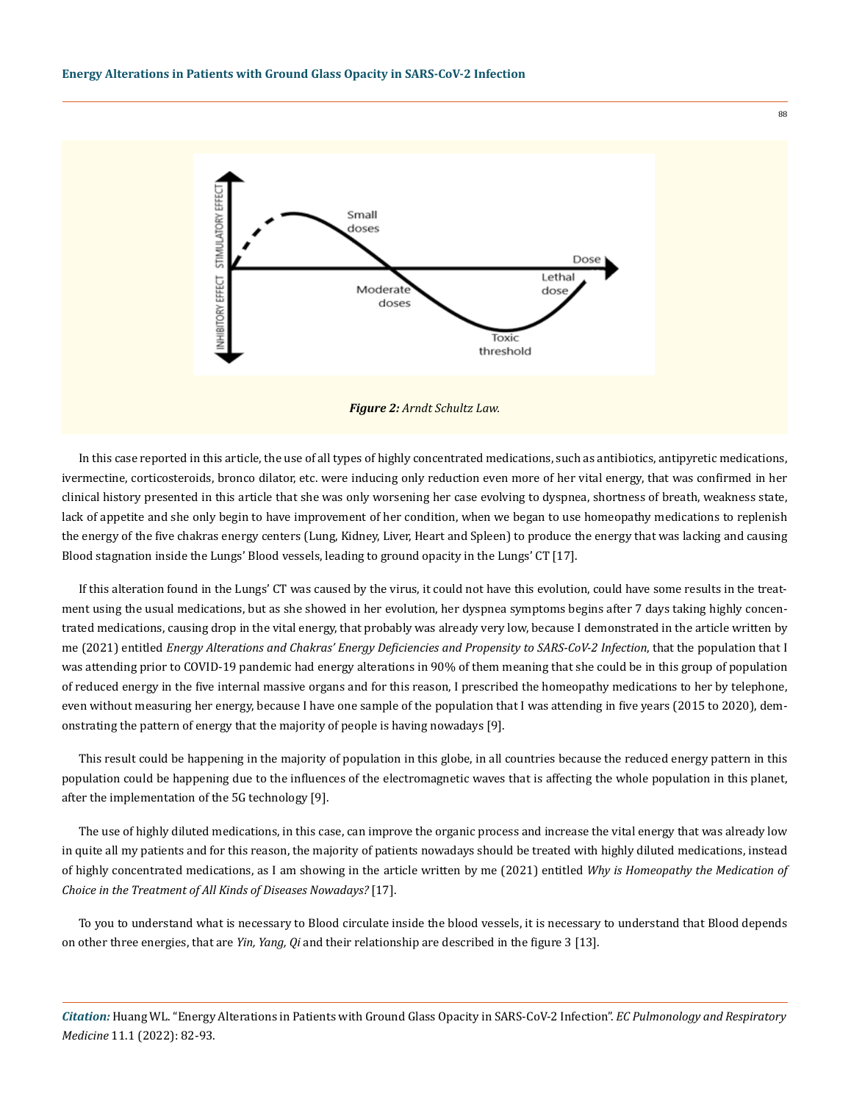

*Figure 2: Arndt Schultz Law.*

In this case reported in this article, the use of all types of highly concentrated medications, such as antibiotics, antipyretic medications, ivermectine, corticosteroids, bronco dilator, etc. were inducing only reduction even more of her vital energy, that was confirmed in her clinical history presented in this article that she was only worsening her case evolving to dyspnea, shortness of breath, weakness state, lack of appetite and she only begin to have improvement of her condition, when we began to use homeopathy medications to replenish the energy of the five chakras energy centers (Lung, Kidney, Liver, Heart and Spleen) to produce the energy that was lacking and causing Blood stagnation inside the Lungs' Blood vessels, leading to ground opacity in the Lungs' CT [17].

If this alteration found in the Lungs' CT was caused by the virus, it could not have this evolution, could have some results in the treatment using the usual medications, but as she showed in her evolution, her dyspnea symptoms begins after 7 days taking highly concentrated medications, causing drop in the vital energy, that probably was already very low, because I demonstrated in the article written by me (2021) entitled *Energy Alterations and Chakras' Energy Deficiencies and Propensity to SARS-CoV-2 Infection*, that the population that I was attending prior to COVID-19 pandemic had energy alterations in 90% of them meaning that she could be in this group of population of reduced energy in the five internal massive organs and for this reason, I prescribed the homeopathy medications to her by telephone, even without measuring her energy, because I have one sample of the population that I was attending in five years (2015 to 2020), demonstrating the pattern of energy that the majority of people is having nowadays [9].

This result could be happening in the majority of population in this globe, in all countries because the reduced energy pattern in this population could be happening due to the influences of the electromagnetic waves that is affecting the whole population in this planet, after the implementation of the 5G technology [9].

The use of highly diluted medications, in this case, can improve the organic process and increase the vital energy that was already low in quite all my patients and for this reason, the majority of patients nowadays should be treated with highly diluted medications, instead of highly concentrated medications, as I am showing in the article written by me (2021) entitled *Why is Homeopathy the Medication of Choice in the Treatment of All Kinds of Diseases Nowadays?* [17].

To you to understand what is necessary to Blood circulate inside the blood vessels, it is necessary to understand that Blood depends on other three energies, that are *Yin, Yang, Qi* and their relationship are described in the figure 3 [13].

*Citation:* Huang WL. "Energy Alterations in Patients with Ground Glass Opacity in SARS-CoV-2 Infection". *EC Pulmonology and Respiratory Medicine* 11.1 (2022): 82-93.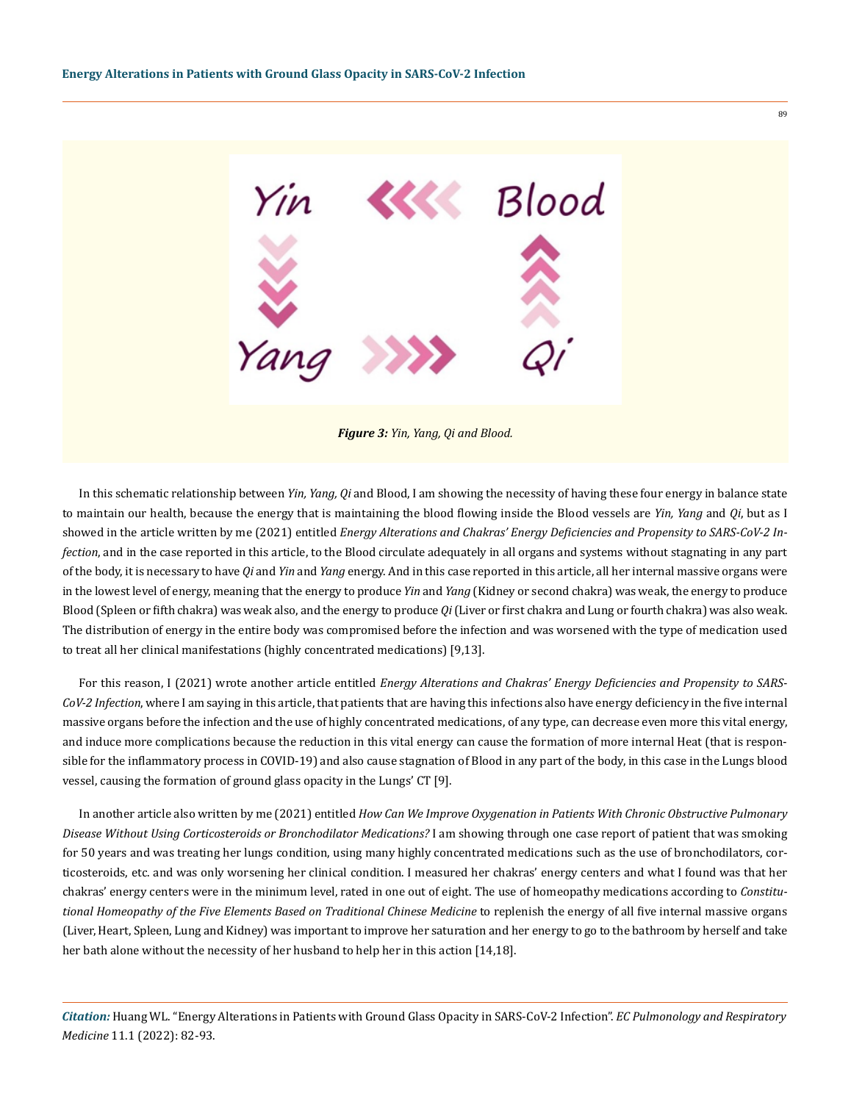

<u>ጵ</u>

In this schematic relationship between *Yin, Yang, Qi* and Blood, I am showing the necessity of having these four energy in balance state to maintain our health, because the energy that is maintaining the blood flowing inside the Blood vessels are *Yin, Yang* and *Qi*, but as I showed in the article written by me (2021) entitled *Energy Alterations and Chakras' Energy Deficiencies and Propensity to SARS-CoV-2 Infection*, and in the case reported in this article, to the Blood circulate adequately in all organs and systems without stagnating in any part of the body, it is necessary to have *Qi* and *Yin* and *Yang* energy. And in this case reported in this article, all her internal massive organs were in the lowest level of energy, meaning that the energy to produce *Yin* and *Yang* (Kidney or second chakra) was weak, the energy to produce Blood (Spleen or fifth chakra) was weak also, and the energy to produce *Qi* (Liver or first chakra and Lung or fourth chakra) was also weak. The distribution of energy in the entire body was compromised before the infection and was worsened with the type of medication used to treat all her clinical manifestations (highly concentrated medications) [9,13].

For this reason, I (2021) wrote another article entitled *Energy Alterations and Chakras' Energy Deficiencies and Propensity to SARS-CoV-2 Infection*, where I am saying in this article, that patients that are having this infections also have energy deficiency in the five internal massive organs before the infection and the use of highly concentrated medications, of any type, can decrease even more this vital energy, and induce more complications because the reduction in this vital energy can cause the formation of more internal Heat (that is responsible for the inflammatory process in COVID-19) and also cause stagnation of Blood in any part of the body, in this case in the Lungs blood vessel, causing the formation of ground glass opacity in the Lungs' CT [9].

In another article also written by me (2021) entitled *How Can We Improve Oxygenation in Patients With Chronic Obstructive Pulmonary Disease Without Using Corticosteroids or Bronchodilator Medications?* I am showing through one case report of patient that was smoking for 50 years and was treating her lungs condition, using many highly concentrated medications such as the use of bronchodilators, corticosteroids, etc. and was only worsening her clinical condition. I measured her chakras' energy centers and what I found was that her chakras' energy centers were in the minimum level, rated in one out of eight. The use of homeopathy medications according to *Constitutional Homeopathy of the Five Elements Based on Traditional Chinese Medicine* to replenish the energy of all five internal massive organs (Liver, Heart, Spleen, Lung and Kidney) was important to improve her saturation and her energy to go to the bathroom by herself and take her bath alone without the necessity of her husband to help her in this action [14,18].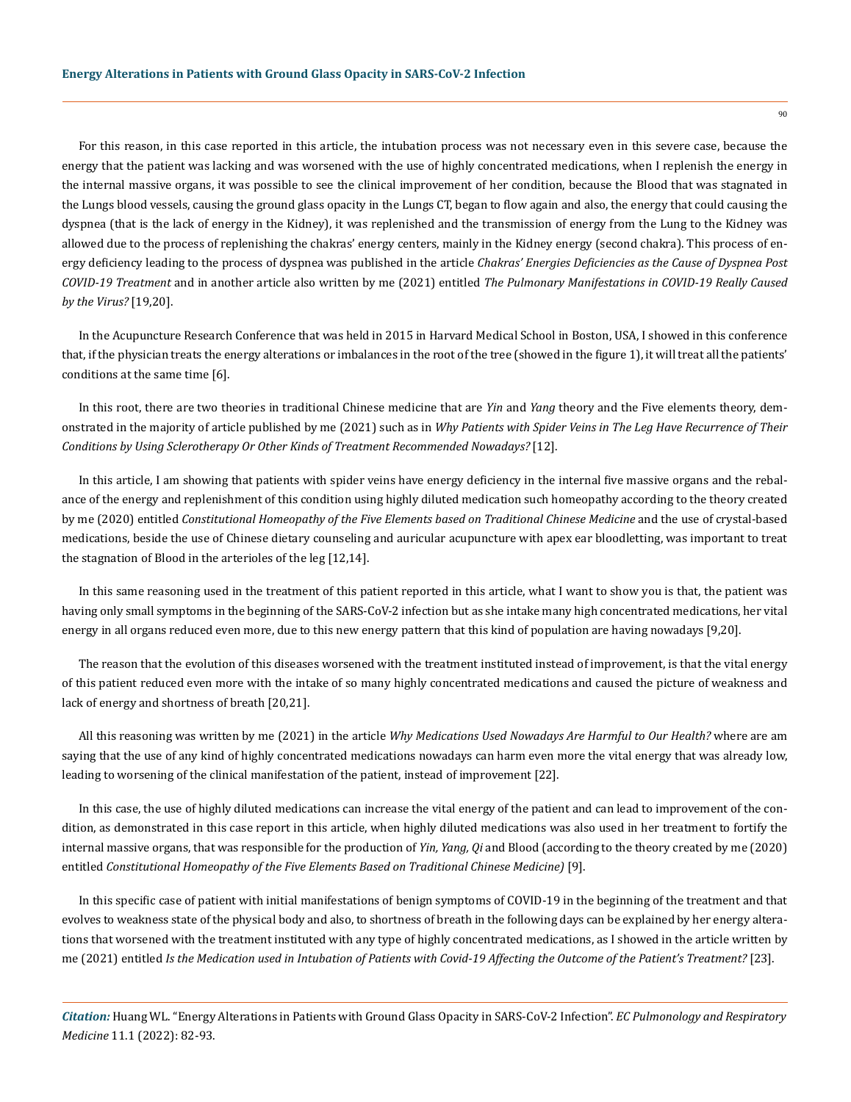For this reason, in this case reported in this article, the intubation process was not necessary even in this severe case, because the energy that the patient was lacking and was worsened with the use of highly concentrated medications, when I replenish the energy in the internal massive organs, it was possible to see the clinical improvement of her condition, because the Blood that was stagnated in the Lungs blood vessels, causing the ground glass opacity in the Lungs CT, began to flow again and also, the energy that could causing the dyspnea (that is the lack of energy in the Kidney), it was replenished and the transmission of energy from the Lung to the Kidney was allowed due to the process of replenishing the chakras' energy centers, mainly in the Kidney energy (second chakra). This process of energy deficiency leading to the process of dyspnea was published in the article *Chakras' Energies Deficiencies as the Cause of Dyspnea Post COVID-19 Treatment* and in another article also written by me (2021) entitled *The Pulmonary Manifestations in COVID-19 Really Caused by the Virus?* [19,20].

In the Acupuncture Research Conference that was held in 2015 in Harvard Medical School in Boston, USA, I showed in this conference that, if the physician treats the energy alterations or imbalances in the root of the tree (showed in the figure 1), it will treat all the patients' conditions at the same time [6].

In this root, there are two theories in traditional Chinese medicine that are *Yin* and *Yang* theory and the Five elements theory, demonstrated in the majority of article published by me (2021) such as in *Why Patients with Spider Veins in The Leg Have Recurrence of Their Conditions by Using Sclerotherapy Or Other Kinds of Treatment Recommended Nowadays?* [12].

In this article, I am showing that patients with spider veins have energy deficiency in the internal five massive organs and the rebalance of the energy and replenishment of this condition using highly diluted medication such homeopathy according to the theory created by me (2020) entitled *Constitutional Homeopathy of the Five Elements based on Traditional Chinese Medicine* and the use of crystal-based medications, beside the use of Chinese dietary counseling and auricular acupuncture with apex ear bloodletting, was important to treat the stagnation of Blood in the arterioles of the leg [12,14].

In this same reasoning used in the treatment of this patient reported in this article, what I want to show you is that, the patient was having only small symptoms in the beginning of the SARS-CoV-2 infection but as she intake many high concentrated medications, her vital energy in all organs reduced even more, due to this new energy pattern that this kind of population are having nowadays [9,20].

The reason that the evolution of this diseases worsened with the treatment instituted instead of improvement, is that the vital energy of this patient reduced even more with the intake of so many highly concentrated medications and caused the picture of weakness and lack of energy and shortness of breath [20,21].

All this reasoning was written by me (2021) in the article *Why Medications Used Nowadays Are Harmful to Our Health?* where are am saying that the use of any kind of highly concentrated medications nowadays can harm even more the vital energy that was already low, leading to worsening of the clinical manifestation of the patient, instead of improvement [22].

In this case, the use of highly diluted medications can increase the vital energy of the patient and can lead to improvement of the condition, as demonstrated in this case report in this article, when highly diluted medications was also used in her treatment to fortify the internal massive organs, that was responsible for the production of *Yin, Yang, Qi* and Blood (according to the theory created by me (2020) entitled *Constitutional Homeopathy of the Five Elements Based on Traditional Chinese Medicine)* [9].

In this specific case of patient with initial manifestations of benign symptoms of COVID-19 in the beginning of the treatment and that evolves to weakness state of the physical body and also, to shortness of breath in the following days can be explained by her energy alterations that worsened with the treatment instituted with any type of highly concentrated medications, as I showed in the article written by me (2021) entitled *Is the Medication used in Intubation of Patients with Covid-19 Affecting the Outcome of the Patient's Treatment?* [23].

*Citation:* Huang WL. "Energy Alterations in Patients with Ground Glass Opacity in SARS-CoV-2 Infection". *EC Pulmonology and Respiratory Medicine* 11.1 (2022): 82-93.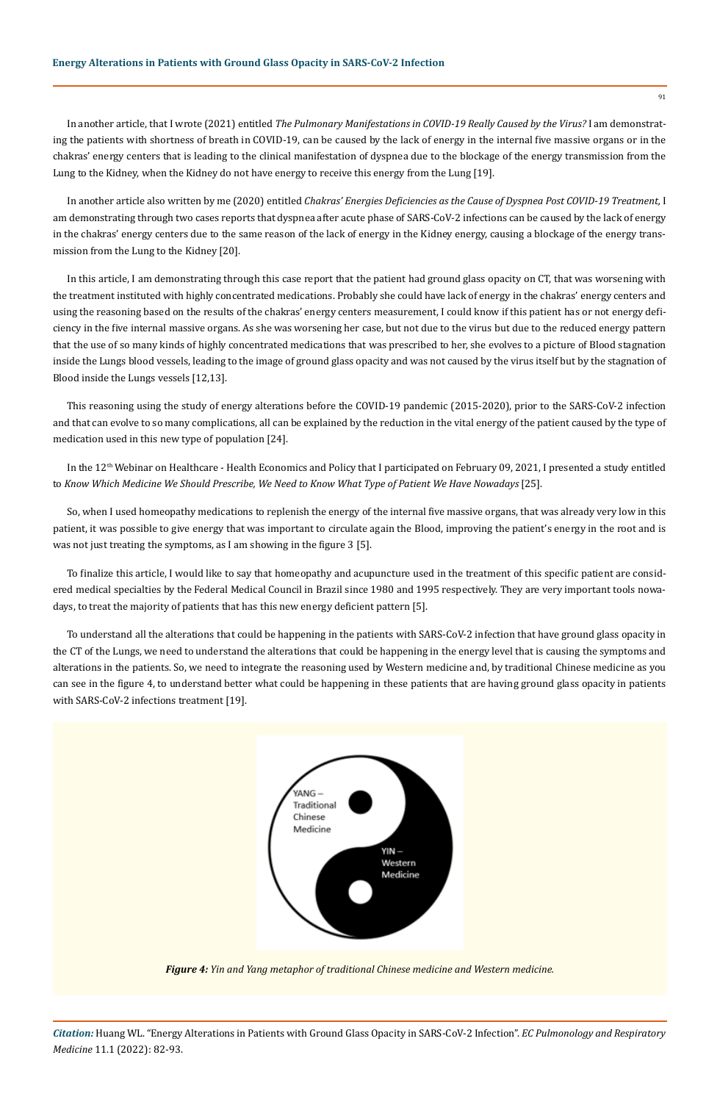In another article, that I wrote (2021) entitled *The Pulmonary Manifestations in COVID-19 Really Caused by the Virus?* I am demonstrating the patients with shortness of breath in COVID-19, can be caused by the lack of energy in the internal five massive organs or in the chakras' energy centers that is leading to the clinical manifestation of dyspnea due to the blockage of the energy transmission from the Lung to the Kidney, when the Kidney do not have energy to receive this energy from the Lung [19].

In another article also written by me (2020) entitled *Chakras' Energies Deficiencies as the Cause of Dyspnea Post COVID-19 Treatment,* I am demonstrating through two cases reports that dyspnea after acute phase of SARS-CoV-2 infections can be caused by the lack of energy in the chakras' energy centers due to the same reason of the lack of energy in the Kidney energy, causing a blockage of the energy transmission from the Lung to the Kidney [20].

In this article, I am demonstrating through this case report that the patient had ground glass opacity on CT, that was worsening with the treatment instituted with highly concentrated medications. Probably she could have lack of energy in the chakras' energy centers and using the reasoning based on the results of the chakras' energy centers measurement, I could know if this patient has or not energy deficiency in the five internal massive organs. As she was worsening her case, but not due to the virus but due to the reduced energy pattern that the use of so many kinds of highly concentrated medications that was prescribed to her, she evolves to a picture of Blood stagnation inside the Lungs blood vessels, leading to the image of ground glass opacity and was not caused by the virus itself but by the stagnation of Blood inside the Lungs vessels [12,13].

This reasoning using the study of energy alterations before the COVID-19 pandemic (2015-2020), prior to the SARS-CoV-2 infection and that can evolve to so many complications, all can be explained by the reduction in the vital energy of the patient caused by the type of medication used in this new type of population [24].

In the 12<sup>th</sup> Webinar on Healthcare - Health Economics and Policy that I participated on February 09, 2021, I presented a study entitled to *Know Which Medicine We Should Prescribe, We Need to Know What Type of Patient We Have Nowadays* [25].

So, when I used homeopathy medications to replenish the energy of the internal five massive organs, that was already very low in this patient, it was possible to give energy that was important to circulate again the Blood, improving the patient's energy in the root and is was not just treating the symptoms, as I am showing in the figure 3 [5].

To finalize this article, I would like to say that homeopathy and acupuncture used in the treatment of this specific patient are considered medical specialties by the Federal Medical Council in Brazil since 1980 and 1995 respectively. They are very important tools nowadays, to treat the majority of patients that has this new energy deficient pattern [5].

To understand all the alterations that could be happening in the patients with SARS-CoV-2 infection that have ground glass opacity in the CT of the Lungs, we need to understand the alterations that could be happening in the energy level that is causing the symptoms and alterations in the patients. So, we need to integrate the reasoning used by Western medicine and, by traditional Chinese medicine as you can see in the figure 4, to understand better what could be happening in these patients that are having ground glass opacity in patients with SARS-CoV-2 infections treatment [19].



*Figure 4: Yin and Yang metaphor of traditional Chinese medicine and Western medicine.*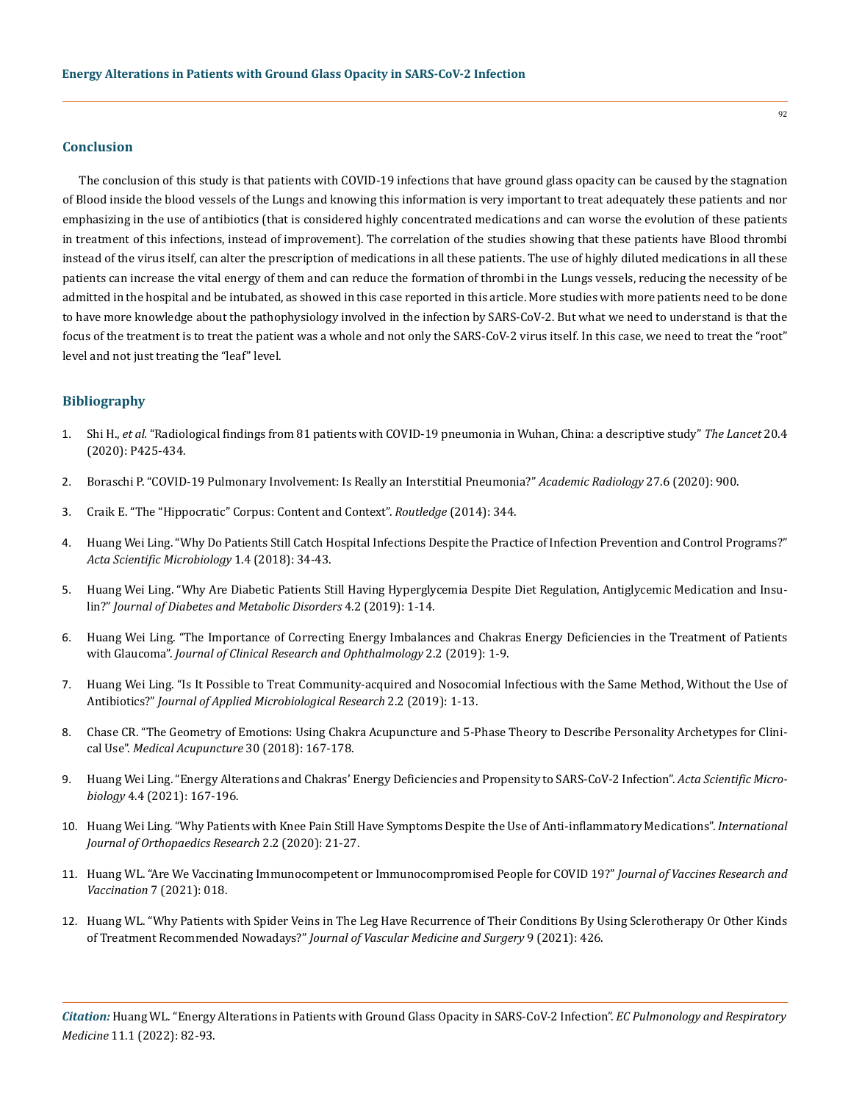#### **Conclusion**

The conclusion of this study is that patients with COVID-19 infections that have ground glass opacity can be caused by the stagnation of Blood inside the blood vessels of the Lungs and knowing this information is very important to treat adequately these patients and nor emphasizing in the use of antibiotics (that is considered highly concentrated medications and can worse the evolution of these patients in treatment of this infections, instead of improvement). The correlation of the studies showing that these patients have Blood thrombi instead of the virus itself, can alter the prescription of medications in all these patients. The use of highly diluted medications in all these patients can increase the vital energy of them and can reduce the formation of thrombi in the Lungs vessels, reducing the necessity of be admitted in the hospital and be intubated, as showed in this case reported in this article. More studies with more patients need to be done to have more knowledge about the pathophysiology involved in the infection by SARS-CoV-2. But what we need to understand is that the focus of the treatment is to treat the patient was a whole and not only the SARS-CoV-2 virus itself. In this case, we need to treat the "root" level and not just treating the "leaf" level.

### **Bibliography**

- 1. Shi H., *et al.* ["Radiological findings from 81 patients with COVID-19 pneumonia in Wuhan, China: a descriptive study"](https://www.thelancet.com/article/S1473-3099(20)30086-4/fulltext) *The Lancet* 20.4 [\(2020\): P425-434.](https://www.thelancet.com/article/S1473-3099(20)30086-4/fulltext)
- 2. [Boraschi P. "COVID-19 Pulmonary Involvement: Is Really an Interstitial Pneumonia?"](https://www.ncbi.nlm.nih.gov/pmc/articles/PMC7158787/) *Academic Radiology* 27.6 (2020): 900.
- 3. [Craik E. "The "Hippocratic" Corpus: Content and Context".](https://www.routledge.com/The-Hippocratic-Corpus-Content-and-Context/Craik/p/book/9781138021716) *Routledge* (2014): 344.
- 4. [Huang Wei Ling. "Why Do Patients Still Catch Hospital Infections Despite the Practice of Infection Prevention and Control Programs?"](https://www.researchgate.net/publication/324695574_Why_do_Patients_Still_Catch_Hospital_Infections_Despite_the_Practice_of_Infection_Prevention_and_Control_Programs)  *[Acta Scientific Microbiology](https://www.researchgate.net/publication/324695574_Why_do_Patients_Still_Catch_Hospital_Infections_Despite_the_Practice_of_Infection_Prevention_and_Control_Programs)* 1.4 (2018): 34-43.
- 5. [Huang Wei Ling. "Why Are Diabetic Patients Still Having Hyperglycemia Despite Diet Regulation, Antiglycemic Medication and Insu](https://www.omicsonline.org/proceedings/why-are-diabetic-patients-still-having-hyperglycemia-despite-diet-regulation-antiglycemic-medication-and-insulin-105440.html)lin?" *[Journal of Diabetes and Metabolic Disorders](https://www.omicsonline.org/proceedings/why-are-diabetic-patients-still-having-hyperglycemia-despite-diet-regulation-antiglycemic-medication-and-insulin-105440.html)* 4.2 (2019): 1-14.
- 6. [Huang Wei Ling. "The Importance of Correcting Energy Imbalances and Chakras Energy Deficiencies in the Treatment of Patients](https://www.semanticscholar.org/paper/The-Importance-of-Correcting-Energy-Imbalances-and-Ling/c7a6577fd9444e3b5551e25d8ab62865fbfc111a)  with Glaucoma". *[Journal of Clinical Research and Ophthalmology](https://www.semanticscholar.org/paper/The-Importance-of-Correcting-Energy-Imbalances-and-Ling/c7a6577fd9444e3b5551e25d8ab62865fbfc111a)* 2.2 (2019): 1-9.
- 7. [Huang Wei Ling. "Is It Possible to Treat Community-acquired and Nosocomial Infectious with the Same Method, Without the Use of](https://www.innovationinfo.org/journal-of-applied-microbiological-research/article/Is-it-Possible-to-Treat-Community-Acquired-and-Nosocomial-Infections-with-the-Same-Method-Without-the-Use-of-Antibiotics-)  Antibiotics?" *[Journal of Applied Microbiological Research](https://www.innovationinfo.org/journal-of-applied-microbiological-research/article/Is-it-Possible-to-Treat-Community-Acquired-and-Nosocomial-Infections-with-the-Same-Method-Without-the-Use-of-Antibiotics-)* 2.2 (2019): 1-13.
- 8. [Chase CR. "The Geometry of Emotions: Using Chakra Acupuncture and 5-Phase Theory to Describe Personality Archetypes for Clini](https://www.ncbi.nlm.nih.gov/pmc/articles/PMC6106753/)cal Use". *[Medical Acupuncture](https://www.ncbi.nlm.nih.gov/pmc/articles/PMC6106753/)* 30 (2018): 167-178.
- 9. [Huang Wei Ling. "Energy Alterations and Chakras' Energy Deficiencies and Propensity to SARS-CoV-2 Infection".](https://www.researchgate.net/publication/350500904_Energies_Alterations_and_Chakras%27_Energies_Deficiencies_and_Propensity_to_SARS-CoV-2_Infection) *Acta Scientific Microbiology* [4.4 \(2021\): 167-196.](https://www.researchgate.net/publication/350500904_Energies_Alterations_and_Chakras%27_Energies_Deficiencies_and_Propensity_to_SARS-CoV-2_Infection)
- 10. [Huang Wei Ling. "Why Patients with Knee Pain Still Have Symptoms Despite the Use of Anti-inflammatory Medications".](https://www.hilarispublisher.com/open-access/why-patients-with-knee-pain-still-have-symptoms-despite-the-use-of-antiinflammatory-medications.pdf) *International [Journal of Orthopaedics Research](https://www.hilarispublisher.com/open-access/why-patients-with-knee-pain-still-have-symptoms-despite-the-use-of-antiinflammatory-medications.pdf)* 2.2 (2020): 21-27.
- 11. [Huang WL. "Are We Vaccinating Immunocompetent or Immunocompromised People for COVID 19?"](https://www.heraldopenaccess.us/openaccess/are-we-vaccinating-immunocompetent-or-immunocompromised-people-for-covid-19) *Journal of Vaccines Research and Vaccination* [7 \(2021\): 018.](https://www.heraldopenaccess.us/openaccess/are-we-vaccinating-immunocompetent-or-immunocompromised-people-for-covid-19)
- 12. [Huang WL. "Why Patients with Spider Veins in The Leg Have Recurrence of Their Conditions By Using Sclerotherapy Or Other Kinds](https://www.walshmedicalmedia.com/abstract/why-patients-with-spider-veins-in-the-leg-have-recurrence-of-their-conditions-by-using-sclerotherapy-or-other-kinds-of-t-86691.html)  of Treatment Recommended Nowadays?" *[Journal of Vascular Medicine and Surgery](https://www.walshmedicalmedia.com/abstract/why-patients-with-spider-veins-in-the-leg-have-recurrence-of-their-conditions-by-using-sclerotherapy-or-other-kinds-of-t-86691.html)* 9 (2021): 426.